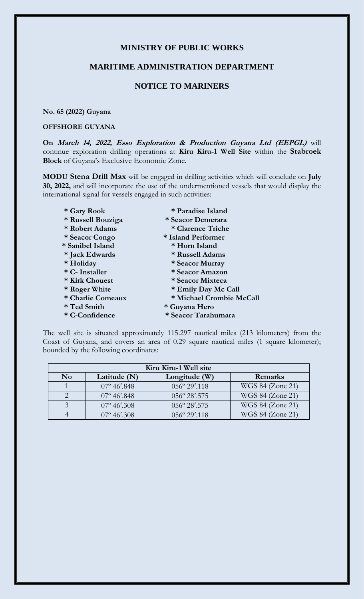# **MINISTRY OF PUBLIC WORKS**

### **MARITIME ADMINISTRATION DEPARTMENT**

# **NOTICE TO MARINERS**

#### **No. 65 (2022) Guyana**

#### **OFFSHORE GUYANA**

**On March 14, 2022, Esso Exploration & Production Guyana Ltd (EEPGL)** will continue exploration drilling operations at **Kiru Kiru-1 Well Site** within the **Stabroek Block** of Guyana's Exclusive Economic Zone.

**MODU Stena Drill Max** will be engaged in drilling activities which will conclude on **July 30, 2022,** and will incorporate the use of the undermentioned vessels that would display the international signal for vessels engaged in such activities:

- 
- **\* Russell Bouziga \* Seacor Demerara**
- **\* Robert Adams \* Clarence Triche**
- **\* Seacor Congo \* Island Performer**
- **\* Sanibel Island \* Horn Island**
- 
- 
- 
- 
- 
- 
- 
- 
- **\* Gary Rook \* Paradise Island**
	-
	-
	-
	-
- **\* Jack Edwards \* Russell Adams**
- **\* Holiday \* Seacor Murray**
- **\* C- Installer \* Seacor Amazon**
- **\* Kirk Chouest \* Seacor Mixteca**
- **\* Roger White \* Emily Day Mc Call**
- **\* Charlie Comeaux \* Michael Crombie McCall**
- **\* Ted Smith \* Guyana Hero**
- **\* C-Confidence \* Seacor Tarahumara**

The well site is situated approximately 115.297 nautical miles (213 kilometers) from the Coast of Guyana, and covers an area of 0.29 square nautical miles (1 square kilometer); bounded by the following coordinates:

| Kiru Kiru-1 Well site |                         |                         |                  |
|-----------------------|-------------------------|-------------------------|------------------|
| N <sub>0</sub>        | Latitude $(N)$          | Longitude (W)           | Remarks          |
|                       | $07^{\circ}$ 46'.848    | $0.56^{\circ} 29'$ .118 | WGS 84 (Zone 21) |
|                       | $07^{\circ}$ 46'.848    | $056^{\circ} 28'$ .575  | WGS 84 (Zone 21) |
|                       | $07^{\circ} 46'$ .308   | $056^{\circ} 28'$ .575  | WGS 84 (Zone 21) |
|                       | $07^{\circ}$ 46' $.308$ | $0.56^{\circ}$ 29'.118  | WGS 84 (Zone 21) |